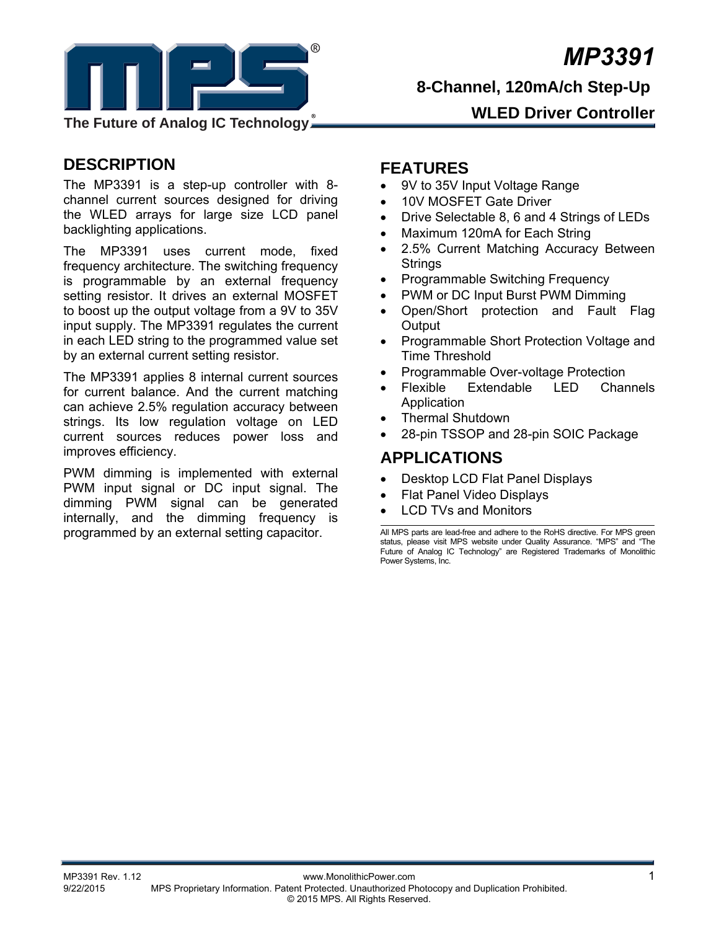*MP3391*



**8-Channel, 120mA/ch Step-Up** 

**WLED Driver Controller**

### **DESCRIPTION**

The MP3391 is a step-up controller with 8 channel current sources designed for driving the WLED arrays for large size LCD panel backlighting applications.

The MP3391 uses current mode, fixed frequency architecture. The switching frequency is programmable by an external frequency setting resistor. It drives an external MOSFET to boost up the output voltage from a 9V to 35V input supply. The MP3391 regulates the current in each LED string to the programmed value set by an external current setting resistor.

The MP3391 applies 8 internal current sources for current balance. And the current matching can achieve 2.5% regulation accuracy between strings. Its low regulation voltage on LED current sources reduces power loss and improves efficiency.

PWM dimming is implemented with external PWM input signal or DC input signal. The dimming PWM signal can be generated internally, and the dimming frequency is programmed by an external setting capacitor.

### **FEATURES**

- 9V to 35V Input Voltage Range
- 10V MOSFET Gate Driver
- Drive Selectable 8, 6 and 4 Strings of LEDs
- Maximum 120mA for Each String
- 2.5% Current Matching Accuracy Between **Strings**
- Programmable Switching Frequency
- PWM or DC Input Burst PWM Dimming
- Open/Short protection and Fault Flag **Output**
- Programmable Short Protection Voltage and Time Threshold
- Programmable Over-voltage Protection
- Flexible Extendable LED Channels Application
- Thermal Shutdown
- 28-pin TSSOP and 28-pin SOIC Package

### **APPLICATIONS**

- Desktop LCD Flat Panel Displays
- Flat Panel Video Displays
- LCD TVs and Monitors

All MPS parts are lead-free and adhere to the RoHS directive. For MPS green status, please visit MPS website under Quality Assurance. "MPS" and "The Future of Analog IC Technology" are Registered Trademarks of Monolithic Power Systems, Inc.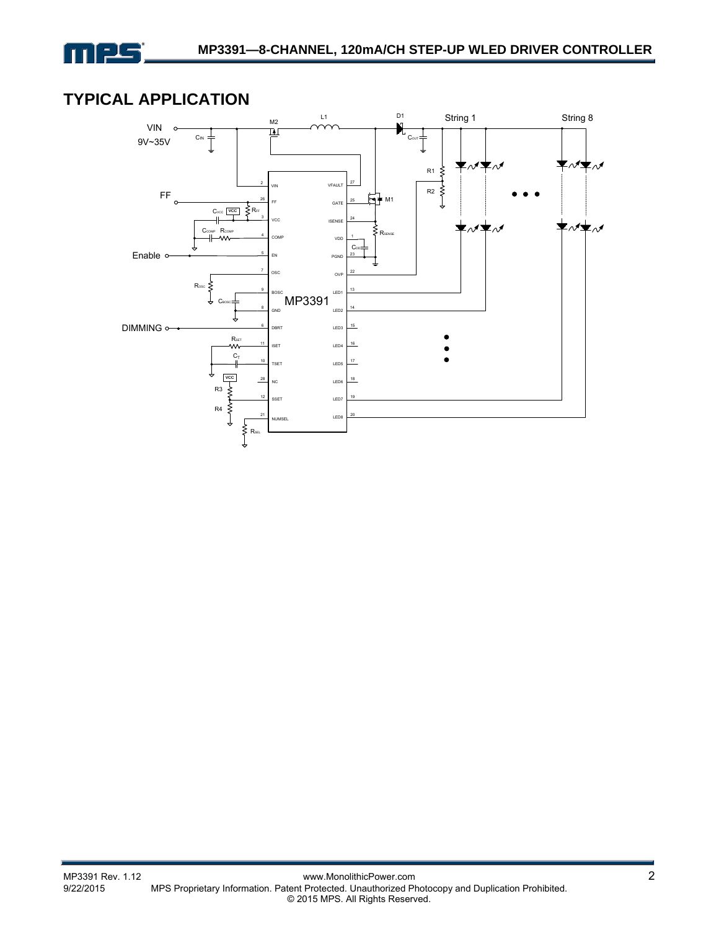

### **TYPICAL APPLICATION**

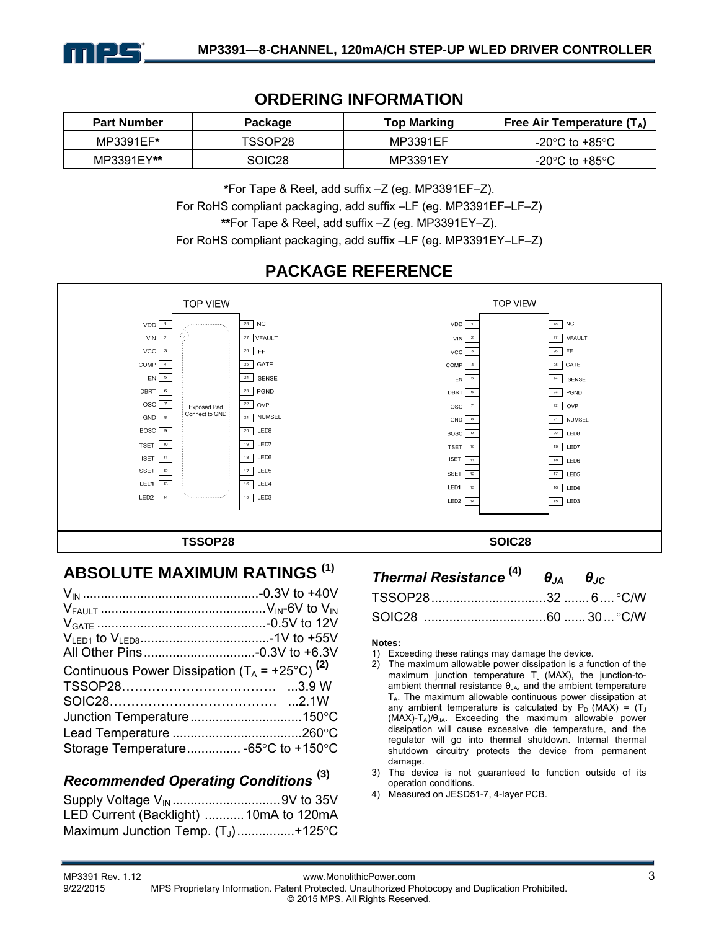

### **ORDERING INFORMATION**

| <b>Part Number</b> | Package | <b>Top Marking</b> | Free Air Temperature ( $T_{\Delta}$ ) |
|--------------------|---------|--------------------|---------------------------------------|
| MP3391EF*          | TSSOP28 | MP3391EF           | -20°C to +85°C                        |
| MP3391EY**         | SOIC28  | MP3391EY           | -20°C to +85°C                        |

**\***For Tape & Reel, add suffix –Z (eg. MP3391EF–Z).

For RoHS compliant packaging, add suffix –LF (eg. MP3391EF–LF–Z)

**\*\***For Tape & Reel, add suffix –Z (eg. MP3391EY–Z).

For RoHS compliant packaging, add suffix –LF (eg. MP3391EY–LF–Z)

# **PACKAGE REFERENCE**



### **ABSOLUTE MAXIMUM RATINGS (1)**

| Continuous Power Dissipation $(T_A = +25^{\circ}C)^{(2)}$ |  |
|-----------------------------------------------------------|--|
|                                                           |  |
|                                                           |  |
|                                                           |  |
|                                                           |  |
| Storage Temperature -65°C to +150°C                       |  |

### *Recommended Operating Conditions* **(3)**

| Supply Voltage V <sub>IN</sub> 9V to 35V |  |
|------------------------------------------|--|
| LED Current (Backlight) 10mA to 120mA    |  |
| Maximum Junction Temp. $(T_1)$ +125°C    |  |

| Thermal Resistance $^{(4)}$ $\theta_{JA}$ $\theta_{JC}$ |  |  |
|---------------------------------------------------------|--|--|
|                                                         |  |  |
|                                                         |  |  |

#### **Notes:**

- 1) Exceeding these ratings may damage the device.
- 2) The maximum allowable power dissipation is a function of the maximum junction temperature  $T_J$  (MAX), the junction-toambient thermal resistance  $\theta_{JA}$ , and the ambient temperature  $T_A$ . The maximum allowable continuous power dissipation at any ambient temperature is calculated by  $P_D$  (MAX) = (T<sub>J</sub>  $(MAX)-T_A)/\theta_{JA}$ . Exceeding the maximum allowable power dissipation will cause excessive die temperature, and the regulator will go into thermal shutdown. Internal thermal shutdown circuitry protects the device from permanent damage.
- 3) The device is not guaranteed to function outside of its operation conditions.
- 4) Measured on JESD51-7, 4-layer PCB.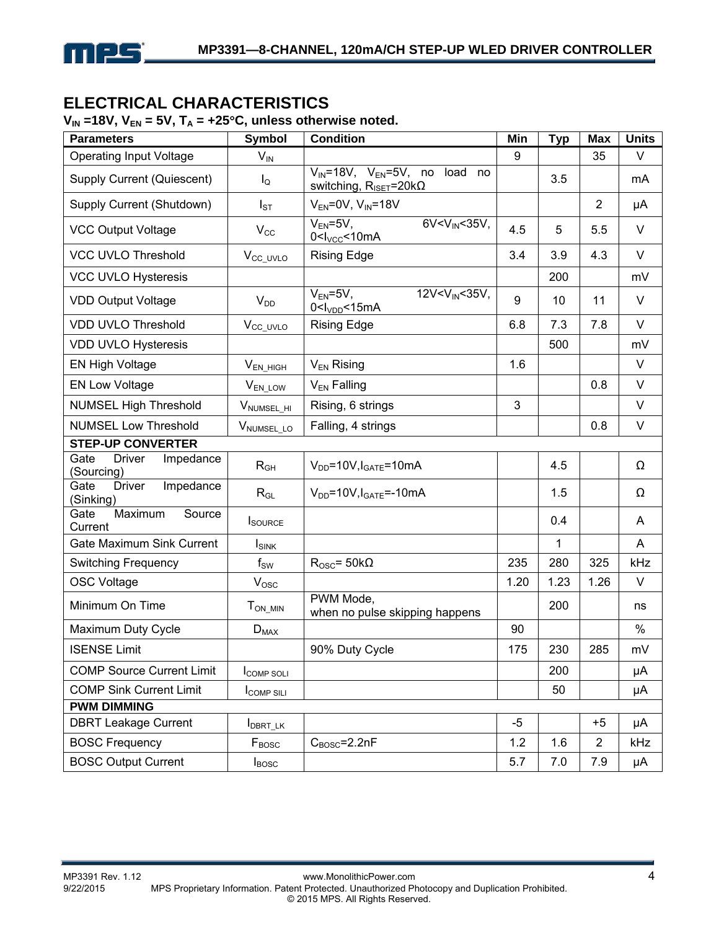

### **ELECTRICAL CHARACTERISTICS**

#### $V_{IN}$  =18V,  $V_{EN}$  = 5V,  $T_A$  = +25°C, unless otherwise noted.

| <b>Parameters</b>                                | <b>Symbol</b>              | <b>Condition</b>                                                                        | Min  | <b>Typ</b> | <b>Max</b>     | <b>Units</b> |
|--------------------------------------------------|----------------------------|-----------------------------------------------------------------------------------------|------|------------|----------------|--------------|
| <b>Operating Input Voltage</b>                   | $V_{IN}$                   |                                                                                         | 9    |            | 35             | V            |
| Supply Current (Quiescent)                       | $I_{\mathsf{Q}}$           | $V_{IN} = 18V$ , $V_{EN} = 5V$ , no load no<br>switching, $R_{\text{ISET}} = 20k\Omega$ |      | 3.5        |                | mA           |
| Supply Current (Shutdown)                        | $I_{ST}$                   | $V_{EN}$ =0V, $V_{IN}$ =18V                                                             |      |            | $\overline{2}$ | μA           |
| <b>VCC Output Voltage</b>                        | $V_{\rm CC}$               | $6V < VIN < 35V$ ,<br>$V_{EN} = 5V$ ,<br>0 < I <sub>VCC</sub> < 10mA                    | 4.5  | 5          | 5.5            | V            |
| <b>VCC UVLO Threshold</b>                        | V <sub>CC_UVLO</sub>       | <b>Rising Edge</b>                                                                      | 3.4  | 3.9        | 4.3            | $\vee$       |
| <b>VCC UVLO Hysteresis</b>                       |                            |                                                                                         |      | 200        |                | mV           |
| <b>VDD Output Voltage</b>                        | $V_{DD}$                   | $\overline{12V}$ V <sub>IN</sub> < 35V,<br>$V_{EN} = 5V$ ,<br>0 <sub>VDD</sub> <15mA    | 9    | 10         | 11             | $\vee$       |
| <b>VDD UVLO Threshold</b>                        | V <sub>CC_UVLO</sub>       | <b>Rising Edge</b>                                                                      | 6.8  | 7.3        | 7.8            | $\vee$       |
| <b>VDD UVLO Hysteresis</b>                       |                            |                                                                                         |      | 500        |                | mV           |
| EN High Voltage                                  | $V_{EN_HIGH}$              | $V_{EN}$ Rising                                                                         | 1.6  |            |                | $\vee$       |
| <b>EN Low Voltage</b>                            | V <sub>EN_LOW</sub>        | $V_{EN}$ Falling                                                                        |      |            | 0.8            | $\vee$       |
| <b>NUMSEL High Threshold</b>                     | V <sub>NUMSEL</sub> HI     | Rising, 6 strings                                                                       | 3    |            |                | $\vee$       |
| <b>NUMSEL Low Threshold</b>                      | VNUMSEL_LO                 | Falling, 4 strings                                                                      |      |            | 0.8            | V            |
| <b>STEP-UP CONVERTER</b>                         |                            |                                                                                         |      |            |                |              |
| Gate<br><b>Driver</b><br>Impedance<br>(Sourcing) | $\mathsf{R}_{\mathsf{GH}}$ | $V_{DD} = 10V, I_{GATE} = 10mA$                                                         |      | 4.5        |                | Ω            |
| Impedance<br>Gate<br><b>Driver</b><br>(Sinking)  | $R_{GL}$                   | $V_{DD} = 10V, I_{GATE} = -10mA$                                                        |      | 1.5        |                | Ω            |
| Maximum<br>Source<br>Gate<br>Current             | <b>I</b> SOURCE            |                                                                                         |      | 0.4        |                | A            |
| <b>Gate Maximum Sink Current</b>                 | I <sub>SINK</sub>          |                                                                                         |      | 1          |                | A            |
| <b>Switching Frequency</b>                       | $f_{SW}$                   | $R_{\rm OSC} = 50k\Omega$                                                               | 235  | 280        | 325            | kHz          |
| <b>OSC Voltage</b>                               | $V_{\text{OSC}}$           |                                                                                         | 1.20 | 1.23       | 1.26           | $\vee$       |
| Minimum On Time                                  | $T_{ON\_MIN}$              | PWM Mode,<br>when no pulse skipping happens                                             |      | 200        |                | ns           |
| Maximum Duty Cycle                               | $D_{MAX}$                  |                                                                                         | 90   |            |                | $\%$         |
| <b>ISENSE Limit</b>                              |                            | 90% Duty Cycle                                                                          | 175  | 230        | 285            | mV           |
| <b>COMP Source Current Limit</b>                 | <b>ICOMP SOLI</b>          |                                                                                         |      | 200        |                | μA           |
| <b>COMP Sink Current Limit</b>                   | <b>COMP SILI</b>           |                                                                                         |      | 50         |                | μA           |
| <b>PWM DIMMING</b>                               |                            |                                                                                         |      |            |                |              |
| <b>DBRT Leakage Current</b>                      | I <sub>DBRT_LK</sub>       |                                                                                         | $-5$ |            | $+5$           | μA           |
| <b>BOSC Frequency</b>                            | $F_{\text{BOSC}}$          | $C_{\text{BOSC}}$ =2.2nF                                                                | 1.2  | 1.6        | 2              | kHz          |
| <b>BOSC Output Current</b>                       | $I_{\text{BOSC}}$          |                                                                                         | 5.7  | 7.0        | 7.9            | μA           |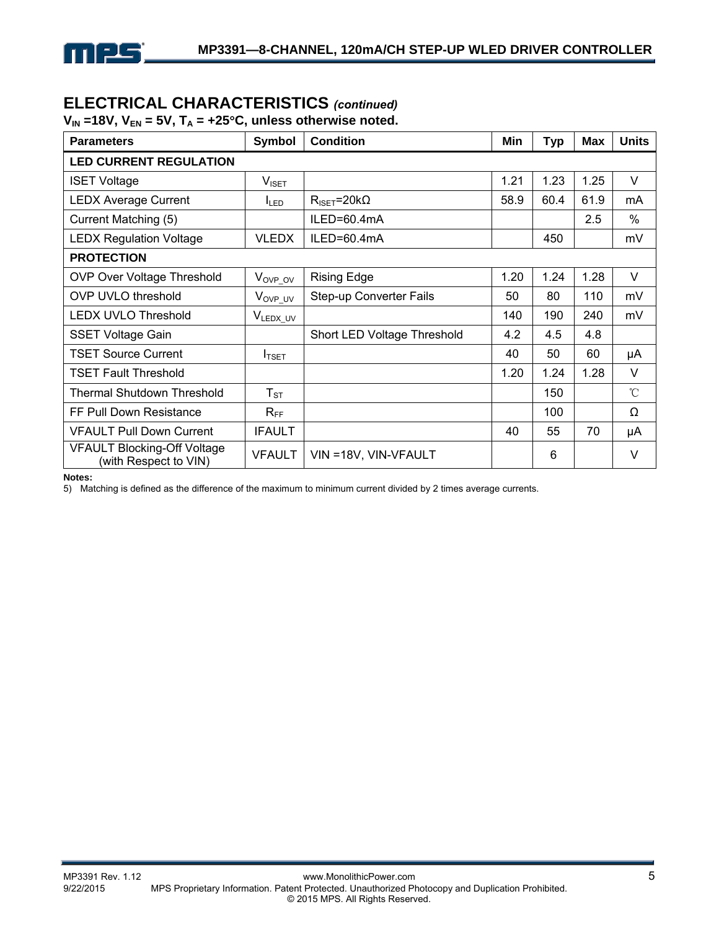

## **ELECTRICAL CHARACTERISTICS** *(continued)*

 $V_{IN}$  =18V,  $V_{EN}$  = 5V,  $T_A$  = +25°C, unless otherwise noted.

| <b>Parameters</b>                                           | Symbol              | <b>Condition</b>              | Min  | Typ  | <b>Max</b> | <b>Units</b> |  |  |
|-------------------------------------------------------------|---------------------|-------------------------------|------|------|------------|--------------|--|--|
| <b>LED CURRENT REGULATION</b>                               |                     |                               |      |      |            |              |  |  |
| <b>ISET Voltage</b>                                         | $V_{\sf ISET}$      |                               | 1.21 | 1.23 | 1.25       | $\vee$       |  |  |
| <b>LEDX Average Current</b>                                 | I <sub>LED</sub>    | $R_{\text{ISET}} = 20k\Omega$ | 58.9 | 60.4 | 61.9       | mA           |  |  |
| Current Matching (5)                                        |                     | ILED=60.4mA                   |      |      | 2.5        | $\%$         |  |  |
| <b>LEDX Regulation Voltage</b>                              | <b>VLEDX</b>        | ILED=60.4mA                   |      | 450  |            | mV           |  |  |
| <b>PROTECTION</b>                                           |                     |                               |      |      |            |              |  |  |
| <b>OVP Over Voltage Threshold</b>                           | $V_{OVP\_OV}$       | <b>Rising Edge</b>            | 1.20 | 1.24 | 1.28       | $\vee$       |  |  |
| <b>OVP UVLO threshold</b>                                   | V <sub>OVP_UV</sub> | Step-up Converter Fails       | 50   | 80   | 110        | mV           |  |  |
| <b>LEDX UVLO Threshold</b>                                  | VLEDX_UV            |                               | 140  | 190  | 240        | mV           |  |  |
| <b>SSET Voltage Gain</b>                                    |                     | Short LED Voltage Threshold   | 4.2  | 4.5  | 4.8        |              |  |  |
| <b>TSET Source Current</b>                                  | I <sub>TSET</sub>   |                               | 40   | 50   | 60         | μA           |  |  |
| <b>TSET Fault Threshold</b>                                 |                     |                               | 1.20 | 1.24 | 1.28       | $\vee$       |  |  |
| <b>Thermal Shutdown Threshold</b>                           | $T_{ST}$            |                               |      | 150  |            | $^{\circ}$ C |  |  |
| FF Pull Down Resistance                                     | $R_{FF}$            |                               |      | 100  |            | Ω            |  |  |
| <b>VFAULT Pull Down Current</b>                             | <b>IFAULT</b>       |                               | 40   | 55   | 70         | μA           |  |  |
| <b>VFAULT Blocking-Off Voltage</b><br>(with Respect to VIN) | <b>VFAULT</b>       | VIN = 18V, VIN-VFAULT         |      | 6    |            | $\vee$       |  |  |

#### **Notes:**

5) Matching is defined as the difference of the maximum to minimum current divided by 2 times average currents.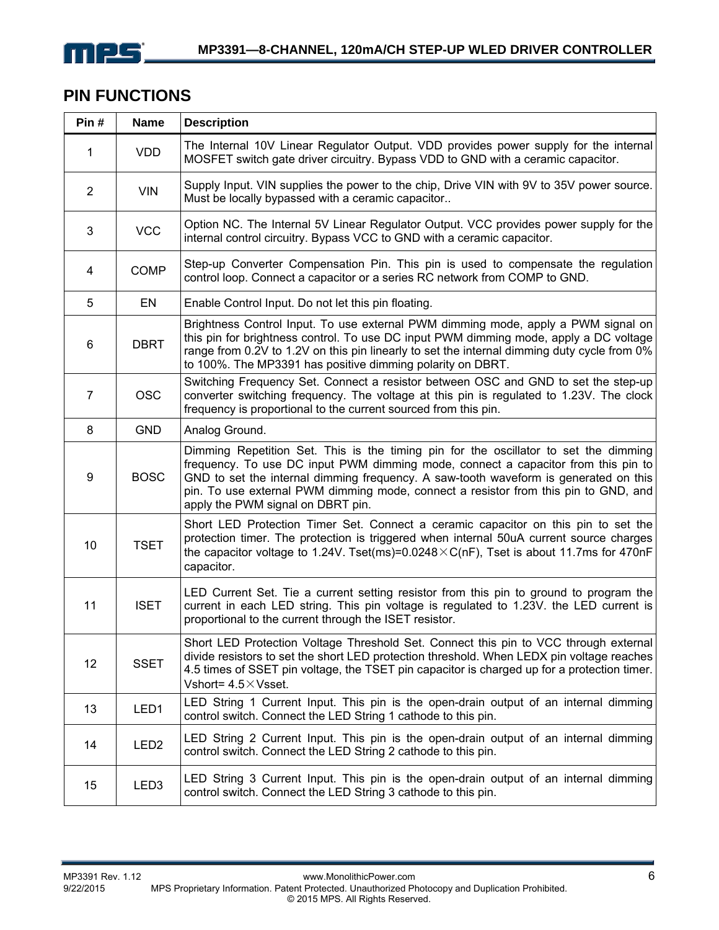

### **PIN FUNCTIONS**

| Pin#             | <b>Name</b>      | <b>Description</b>                                                                                                                                                                                                                                                                                                                                                                            |
|------------------|------------------|-----------------------------------------------------------------------------------------------------------------------------------------------------------------------------------------------------------------------------------------------------------------------------------------------------------------------------------------------------------------------------------------------|
| 1                | <b>VDD</b>       | The Internal 10V Linear Regulator Output. VDD provides power supply for the internal<br>MOSFET switch gate driver circuitry. Bypass VDD to GND with a ceramic capacitor.                                                                                                                                                                                                                      |
| $\overline{2}$   | <b>VIN</b>       | Supply Input. VIN supplies the power to the chip, Drive VIN with 9V to 35V power source.<br>Must be locally bypassed with a ceramic capacitor                                                                                                                                                                                                                                                 |
| 3                | <b>VCC</b>       | Option NC. The Internal 5V Linear Regulator Output. VCC provides power supply for the<br>internal control circuitry. Bypass VCC to GND with a ceramic capacitor.                                                                                                                                                                                                                              |
| 4                | <b>COMP</b>      | Step-up Converter Compensation Pin. This pin is used to compensate the regulation<br>control loop. Connect a capacitor or a series RC network from COMP to GND.                                                                                                                                                                                                                               |
| 5                | EN               | Enable Control Input. Do not let this pin floating.                                                                                                                                                                                                                                                                                                                                           |
| 6                | <b>DBRT</b>      | Brightness Control Input. To use external PWM dimming mode, apply a PWM signal on<br>this pin for brightness control. To use DC input PWM dimming mode, apply a DC voltage<br>range from 0.2V to 1.2V on this pin linearly to set the internal dimming duty cycle from 0%<br>to 100%. The MP3391 has positive dimming polarity on DBRT.                                                       |
| $\overline{7}$   | <b>OSC</b>       | Switching Frequency Set. Connect a resistor between OSC and GND to set the step-up<br>converter switching frequency. The voltage at this pin is regulated to 1.23V. The clock<br>frequency is proportional to the current sourced from this pin.                                                                                                                                              |
| 8                | <b>GND</b>       | Analog Ground.                                                                                                                                                                                                                                                                                                                                                                                |
| $\boldsymbol{9}$ | <b>BOSC</b>      | Dimming Repetition Set. This is the timing pin for the oscillator to set the dimming<br>frequency. To use DC input PWM dimming mode, connect a capacitor from this pin to<br>GND to set the internal dimming frequency. A saw-tooth waveform is generated on this<br>pin. To use external PWM dimming mode, connect a resistor from this pin to GND, and<br>apply the PWM signal on DBRT pin. |
| 10               | <b>TSET</b>      | Short LED Protection Timer Set. Connect a ceramic capacitor on this pin to set the<br>protection timer. The protection is triggered when internal 50uA current source charges<br>the capacitor voltage to 1.24V. Tset(ms)=0.0248 $\times$ C(nF), Tset is about 11.7ms for 470nF<br>capacitor.                                                                                                 |
| 11               | <b>ISET</b>      | LED Current Set. Tie a current setting resistor from this pin to ground to program the<br>current in each LED string. This pin voltage is regulated to 1.23V. the LED current is<br>proportional to the current through the ISET resistor.                                                                                                                                                    |
| 12               | <b>SSET</b>      | Short LED Protection Voltage Threshold Set. Connect this pin to VCC through external<br>divide resistors to set the short LED protection threshold. When LEDX pin voltage reaches<br>4.5 times of SSET pin voltage, the TSET pin capacitor is charged up for a protection timer.<br>Vshort= $4.5 \times$ Vsset.                                                                               |
| 13               | LED1             | LED String 1 Current Input. This pin is the open-drain output of an internal dimming<br>control switch. Connect the LED String 1 cathode to this pin.                                                                                                                                                                                                                                         |
| 14               | LED <sub>2</sub> | LED String 2 Current Input. This pin is the open-drain output of an internal dimming<br>control switch. Connect the LED String 2 cathode to this pin.                                                                                                                                                                                                                                         |
| 15               | LED <sub>3</sub> | LED String 3 Current Input. This pin is the open-drain output of an internal dimming<br>control switch. Connect the LED String 3 cathode to this pin.                                                                                                                                                                                                                                         |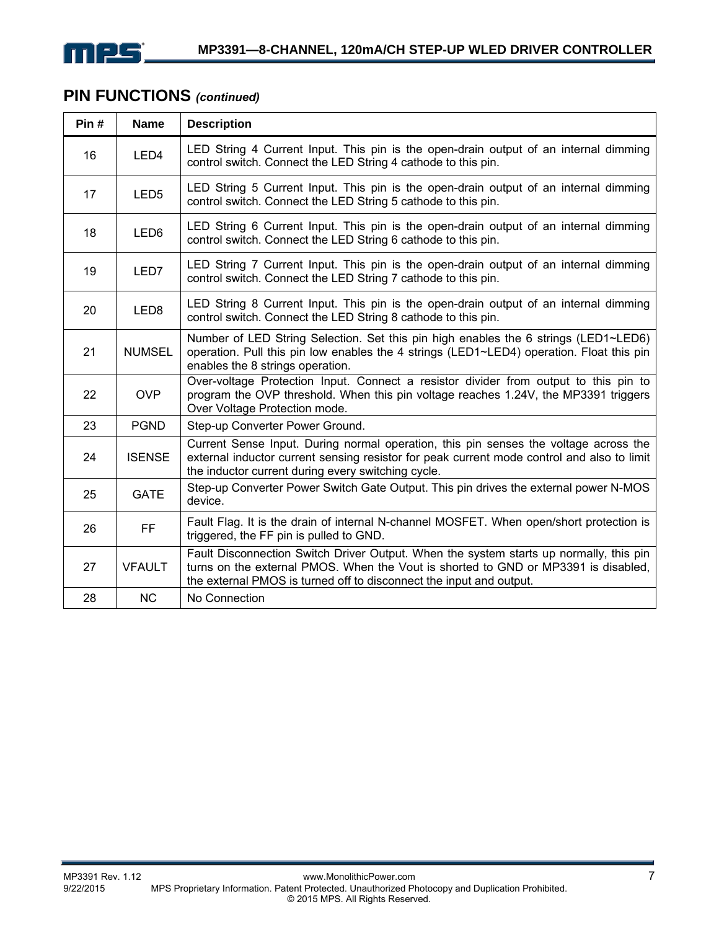

### **PIN FUNCTIONS** *(continued)*

| Pin# | <b>Name</b>      | <b>Description</b>                                                                                                                                                                                                                                  |
|------|------------------|-----------------------------------------------------------------------------------------------------------------------------------------------------------------------------------------------------------------------------------------------------|
| 16   | LED <sub>4</sub> | LED String 4 Current Input. This pin is the open-drain output of an internal dimming<br>control switch. Connect the LED String 4 cathode to this pin.                                                                                               |
| 17   | LED <sub>5</sub> | LED String 5 Current Input. This pin is the open-drain output of an internal dimming<br>control switch. Connect the LED String 5 cathode to this pin.                                                                                               |
| 18   | LED <sub>6</sub> | LED String 6 Current Input. This pin is the open-drain output of an internal dimming<br>control switch. Connect the LED String 6 cathode to this pin.                                                                                               |
| 19   | LED7             | LED String 7 Current Input. This pin is the open-drain output of an internal dimming<br>control switch. Connect the LED String 7 cathode to this pin.                                                                                               |
| 20   | LED <sub>8</sub> | LED String 8 Current Input. This pin is the open-drain output of an internal dimming<br>control switch. Connect the LED String 8 cathode to this pin.                                                                                               |
| 21   | <b>NUMSEL</b>    | Number of LED String Selection. Set this pin high enables the 6 strings (LED1~LED6)<br>operation. Pull this pin low enables the 4 strings (LED1~LED4) operation. Float this pin<br>enables the 8 strings operation.                                 |
| 22   | <b>OVP</b>       | Over-voltage Protection Input. Connect a resistor divider from output to this pin to<br>program the OVP threshold. When this pin voltage reaches 1.24V, the MP3391 triggers<br>Over Voltage Protection mode.                                        |
| 23   | <b>PGND</b>      | Step-up Converter Power Ground.                                                                                                                                                                                                                     |
| 24   | <b>ISENSE</b>    | Current Sense Input. During normal operation, this pin senses the voltage across the<br>external inductor current sensing resistor for peak current mode control and also to limit<br>the inductor current during every switching cycle.            |
| 25   | <b>GATE</b>      | Step-up Converter Power Switch Gate Output. This pin drives the external power N-MOS<br>device.                                                                                                                                                     |
| 26   | FF               | Fault Flag. It is the drain of internal N-channel MOSFET. When open/short protection is<br>triggered, the FF pin is pulled to GND.                                                                                                                  |
| 27   | <b>VFAULT</b>    | Fault Disconnection Switch Driver Output. When the system starts up normally, this pin<br>turns on the external PMOS. When the Vout is shorted to GND or MP3391 is disabled,<br>the external PMOS is turned off to disconnect the input and output. |
| 28   | <b>NC</b>        | No Connection                                                                                                                                                                                                                                       |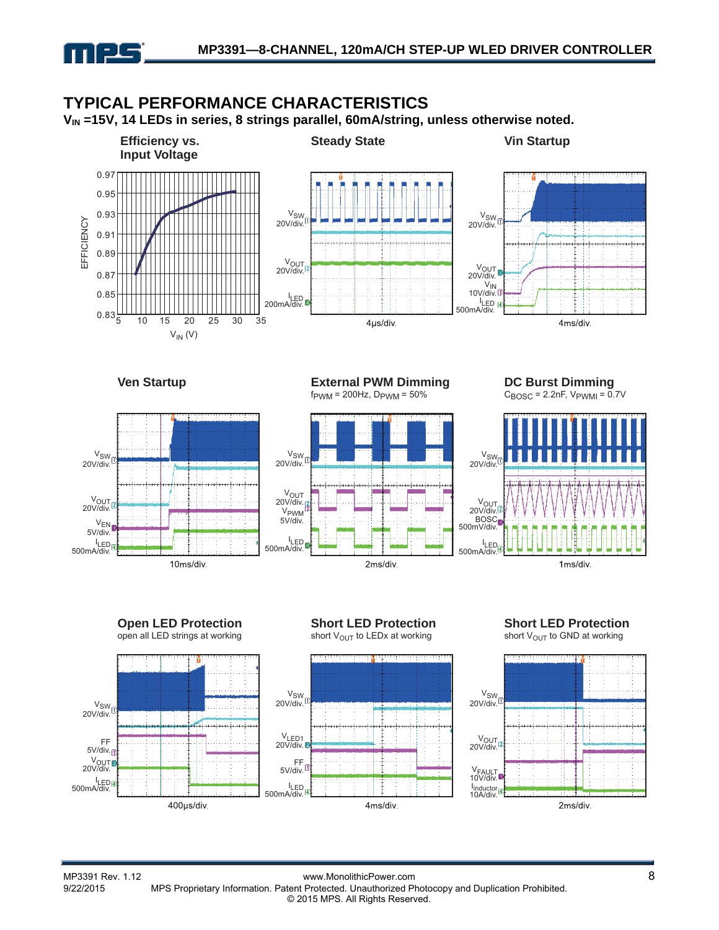

#### V<sub>IN</sub> =15V, 14 LEDs in series, 8 strings parallel, 60mA/string, unless otherwise noted. **Efficiency vs. Steady State Vin Startup Input Voltage** 0.97 0.95 0.93 **V<sub>SW</sub>** VSW EFFICIENCY EFFICIENCY 20V/div. 20V/div.  $0.9<sup>1</sup>$ .<br>Taaladamaalaanadammalaa 0.89 V<sub>OUT</sub><br>.20V/div V<sub>OUT</sub><br>20V/div. 0.87 V<sub>IN</sub><br>.10V/div 0.85 l<sub>LED</sub><br>.200mA/div l<sub>LED</sub><br>.500mA/div  $0.83\frac{L}{5}$ 4ms/div. 5 10 15 20 25 30 35 4µs/div.  $V_{IN}$  (V) **Ven Startup External PWM Dimming DC Burst Dimming**  $f_{\text{PWM}} = 200$ Hz,  $D_{\text{PWM}} = 50\%$  $C_{\text{BOSC}}$  = 2.2nF,  $V_{\text{PWMI}}$  = 0.7V  $V_{SW}$ VSW VSW 20V/div. 20V/div. 20V/div. V<sub>OUT</sub><br>.20V/div V<sub>OUT</sub><br>.20V/div V<sub>OUT</sub><br>.20V/div **V<sub>PWM</sub>** BOSC 5V/div. VEN 500mV/div. 5V/div.  $I<sub>I</sub>$ I LED I LED 500mA/div 500mA/div. 500mA/div. 10ms/div. 2ms/div. 1ms/div.



**TYPICAL PERFORMANCE CHARACTERISTICS** 

#### **Short LED Protection** short  $V_{\text{OUT}}$  to GND at working

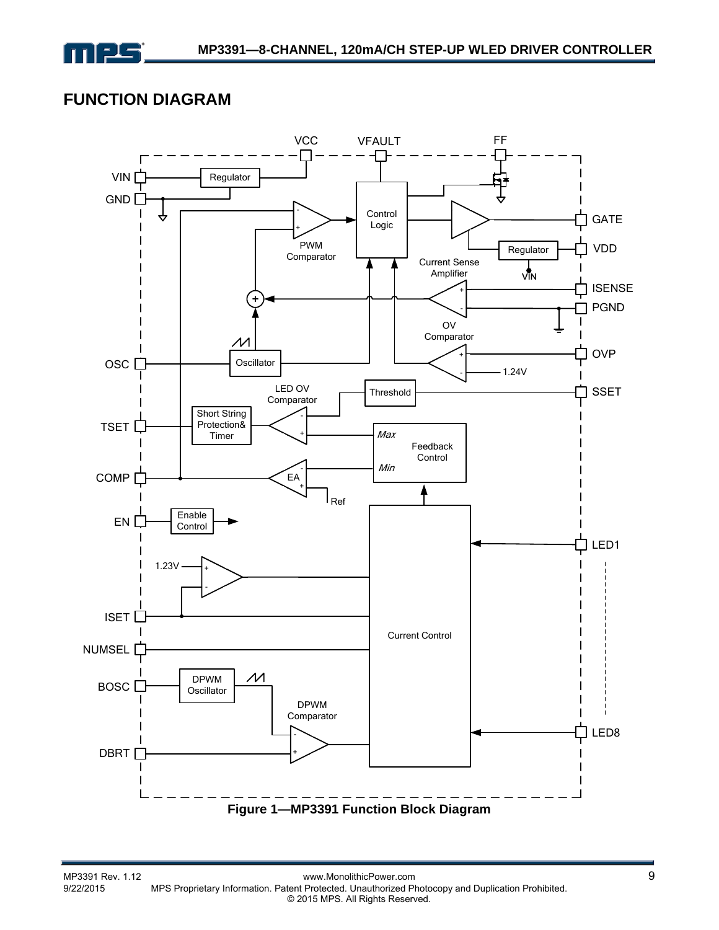

### **FUNCTION DIAGRAM**

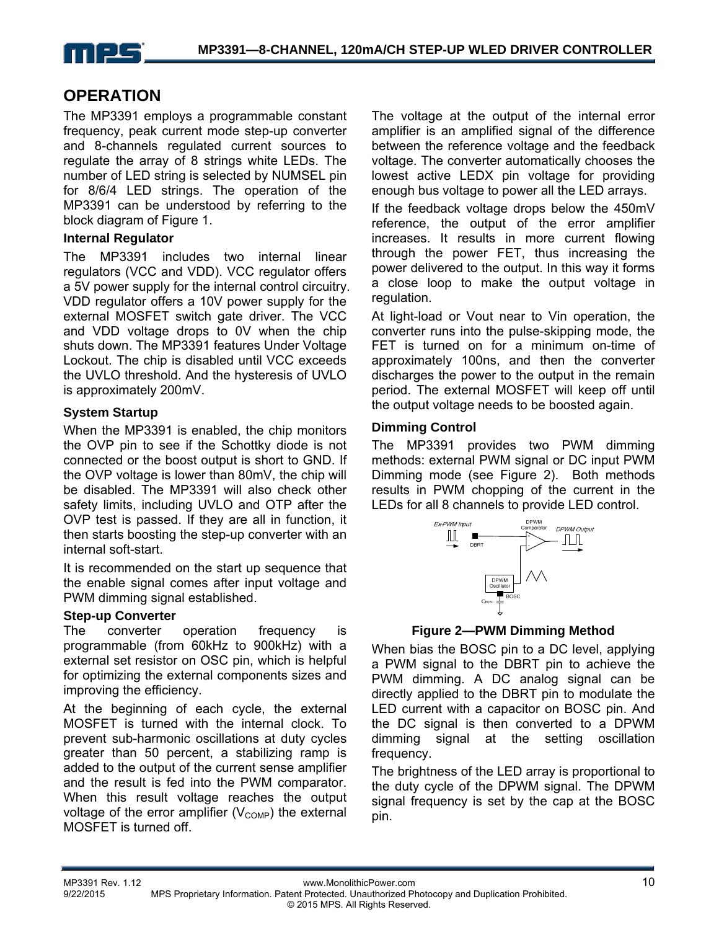

### **OPERATION**

The MP3391 employs a programmable constant frequency, peak current mode step-up converter and 8-channels regulated current sources to regulate the array of 8 strings white LEDs. The number of LED string is selected by NUMSEL pin for 8/6/4 LED strings. The operation of the MP3391 can be understood by referring to the block diagram of Figure 1.

#### **Internal Regulator**

The MP3391 includes two internal linear regulators (VCC and VDD). VCC regulator offers a 5V power supply for the internal control circuitry. VDD regulator offers a 10V power supply for the external MOSFET switch gate driver. The VCC and VDD voltage drops to 0V when the chip shuts down. The MP3391 features Under Voltage Lockout. The chip is disabled until VCC exceeds the UVLO threshold. And the hysteresis of UVLO is approximately 200mV.

#### **System Startup**

When the MP3391 is enabled, the chip monitors the OVP pin to see if the Schottky diode is not connected or the boost output is short to GND. If the OVP voltage is lower than 80mV, the chip will be disabled. The MP3391 will also check other safety limits, including UVLO and OTP after the OVP test is passed. If they are all in function, it then starts boosting the step-up converter with an internal soft-start.

It is recommended on the start up sequence that the enable signal comes after input voltage and PWM dimming signal established.

#### **Step-up Converter**

The converter operation frequency is programmable (from 60kHz to 900kHz) with a external set resistor on OSC pin, which is helpful for optimizing the external components sizes and improving the efficiency.

At the beginning of each cycle, the external MOSFET is turned with the internal clock. To prevent sub-harmonic oscillations at duty cycles greater than 50 percent, a stabilizing ramp is added to the output of the current sense amplifier and the result is fed into the PWM comparator. When this result voltage reaches the output voltage of the error amplifier  $(V_{\text{COMP}})$  the external MOSFET is turned off.

The voltage at the output of the internal error amplifier is an amplified signal of the difference between the reference voltage and the feedback voltage. The converter automatically chooses the lowest active LEDX pin voltage for providing enough bus voltage to power all the LED arrays.

If the feedback voltage drops below the 450mV reference, the output of the error amplifier increases. It results in more current flowing through the power FET, thus increasing the power delivered to the output. In this way it forms a close loop to make the output voltage in regulation.

At light-load or Vout near to Vin operation, the converter runs into the pulse-skipping mode, the FET is turned on for a minimum on-time of approximately 100ns, and then the converter discharges the power to the output in the remain period. The external MOSFET will keep off until the output voltage needs to be boosted again.

#### **Dimming Control**

The MP3391 provides two PWM dimming methods: external PWM signal or DC input PWM Dimming mode (see Figure 2). Both methods results in PWM chopping of the current in the LEDs for all 8 channels to provide LED control.



#### **Figure 2—PWM Dimming Method**

When bias the BOSC pin to a DC level, applying a PWM signal to the DBRT pin to achieve the PWM dimming. A DC analog signal can be directly applied to the DBRT pin to modulate the LED current with a capacitor on BOSC pin. And the DC signal is then converted to a DPWM dimming signal at the setting oscillation frequency.

The brightness of the LED array is proportional to the duty cycle of the DPWM signal. The DPWM signal frequency is set by the cap at the BOSC pin.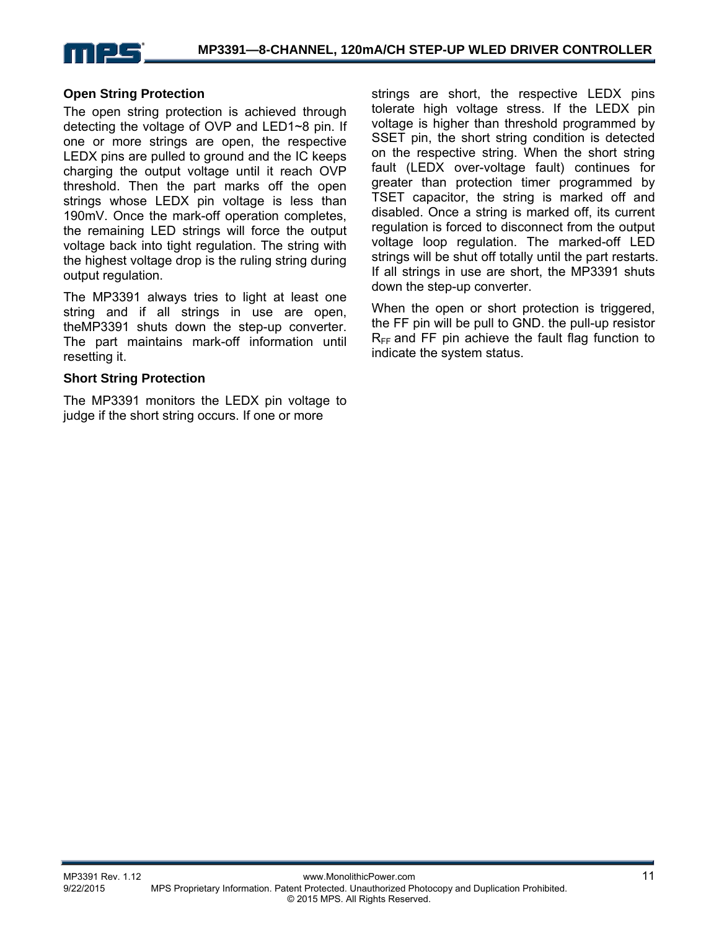

#### **Open String Protection**

The open string protection is achieved through detecting the voltage of OVP and LED1~8 pin. If one or more strings are open, the respective LEDX pins are pulled to ground and the IC keeps charging the output voltage until it reach OVP threshold. Then the part marks off the open strings whose LEDX pin voltage is less than 190mV. Once the mark-off operation completes, the remaining LED strings will force the output voltage back into tight regulation. The string with the highest voltage drop is the ruling string during output regulation.

The MP3391 always tries to light at least one string and if all strings in use are open, theMP3391 shuts down the step-up converter. The part maintains mark-off information until resetting it.

#### **Short String Protection**

The MP3391 monitors the LEDX pin voltage to judge if the short string occurs. If one or more

strings are short, the respective LEDX pins tolerate high voltage stress. If the LEDX pin voltage is higher than threshold programmed by SSET pin, the short string condition is detected on the respective string. When the short string fault (LEDX over-voltage fault) continues for greater than protection timer programmed by TSET capacitor, the string is marked off and disabled. Once a string is marked off, its current regulation is forced to disconnect from the output voltage loop regulation. The marked-off LED strings will be shut off totally until the part restarts. If all strings in use are short, the MP3391 shuts down the step-up converter.

When the open or short protection is triggered, the FF pin will be pull to GND. the pull-up resistor  $R_{FF}$  and FF pin achieve the fault flag function to indicate the system status.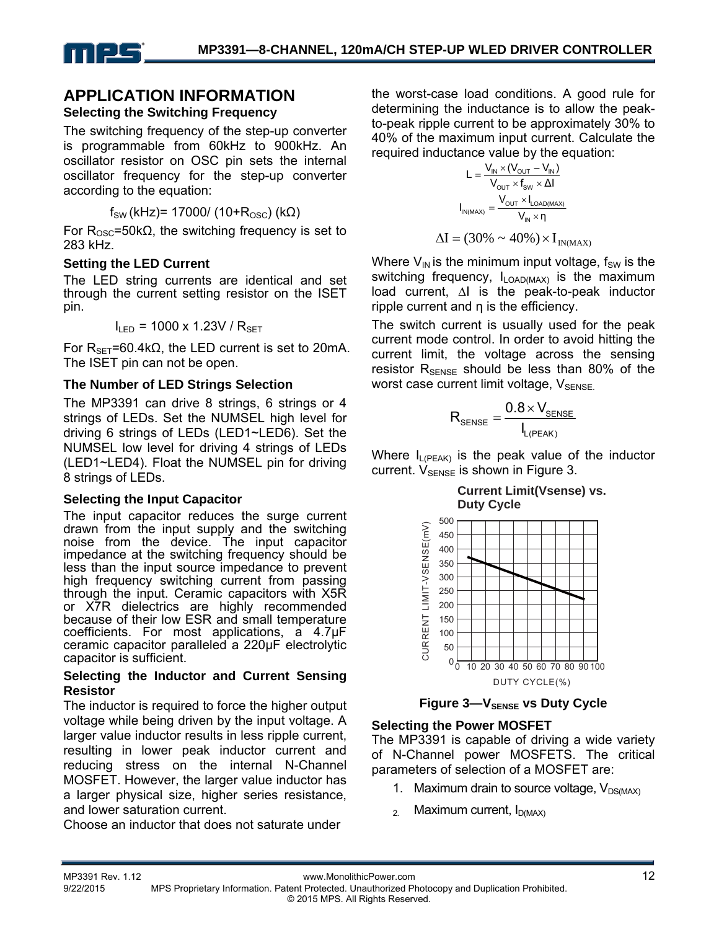

#### **APPLICATION INFORMATION Selecting the Switching Frequency**

The switching frequency of the step-up converter is programmable from 60kHz to 900kHz. An oscillator resistor on OSC pin sets the internal oscillator frequency for the step-up converter according to the equation:

 $f_{SW}$  (kHz)= 17000/ (10+ $R_{OSC}$ ) (kΩ)

For  $R_{\text{OSC}}$ =50k $\Omega$ , the switching frequency is set to 283 kHz.

#### **Setting the LED Current**

The LED string currents are identical and set through the current setting resistor on the ISET pin.

 $I_{LED}$  = 1000 x 1.23V /  $R_{SET}$ 

For  $R_{SET}$ =60.4kΩ, the LED current is set to 20mA. The ISET pin can not be open.

#### **The Number of LED Strings Selection**

The MP3391 can drive 8 strings, 6 strings or 4 strings of LEDs. Set the NUMSEL high level for driving 6 strings of LEDs (LED1~LED6). Set the NUMSEL low level for driving 4 strings of LEDs (LED1~LED4). Float the NUMSEL pin for driving 8 strings of LEDs.

#### **Selecting the Input Capacitor**

The input capacitor reduces the surge current drawn from the input supply and the switching noise from the device. The input capacitor impedance at the switching frequency should be less than the input source impedance to prevent high frequency switching current from passing through the input. Ceramic capacitors with X5R or X7R dielectrics are highly recommended because of their low ESR and small temperature coefficients. For most applications, a 4.7μF ceramic capacitor paralleled a 220μF electrolytic capacitor is sufficient.

#### **Selecting the Inductor and Current Sensing Resistor**

The inductor is required to force the higher output voltage while being driven by the input voltage. A larger value inductor results in less ripple current, resulting in lower peak inductor current and reducing stress on the internal N-Channel MOSFET. However, the larger value inductor has a larger physical size, higher series resistance, and lower saturation current.

Choose an inductor that does not saturate under

the worst-case load conditions. A good rule for determining the inductance is to allow the peakto-peak ripple current to be approximately 30% to 40% of the maximum input current. Calculate the required inductance value by the equation:

$$
L = \frac{V_{\text{IN}} \times (V_{\text{OUT}} - V_{\text{IN}})}{V_{\text{OUT}} \times f_{\text{SW}} \times \Delta I}
$$

$$
I_{\text{IN}(\text{MAX})} = \frac{V_{\text{OUT}} \times I_{\text{LOAD}(\text{MAX})}}{V_{\text{IN}} \times \eta}
$$

$$
\Delta I = (30\% \sim 40\%) \times I_{\text{IN}(\text{MAX})}
$$

Where  $V_{IN}$  is the minimum input voltage,  $f_{SW}$  is the switching frequency,  $I_{\text{LOAD(MAX)}}$  is the maximum load current, ∆I is the peak-to-peak inductor ripple current and η is the efficiency.

The switch current is usually used for the peak current mode control. In order to avoid hitting the current limit, the voltage across the sensing resistor  $R_{\text{SENSE}}$  should be less than 80% of the worst case current limit voltage,  $V_{\text{SENSE}}$ 

$$
R_{\text{SENSE}} = \frac{0.8 \times V_{\text{SENSE}}}{I_{L(\text{PEAK})}}
$$

Where  $I_{L(PEAK)}$  is the peak value of the inductor current.  $V_{\text{SPNSF}}$  is shown in Figure 3.

**Current Limit(Vsense) vs. Duty Cycle**



**Figure 3–VSENSE VS Duty Cycle** 

#### **Selecting the Power MOSFET**

The MP3391 is capable of driving a wide variety of N-Channel power MOSFETS. The critical parameters of selection of a MOSFET are:

- 1. Maximum drain to source voltage,  $V_{DS(MAX)}$
- $_{2.}$  Maximum current,  $I_{D(MAX)}$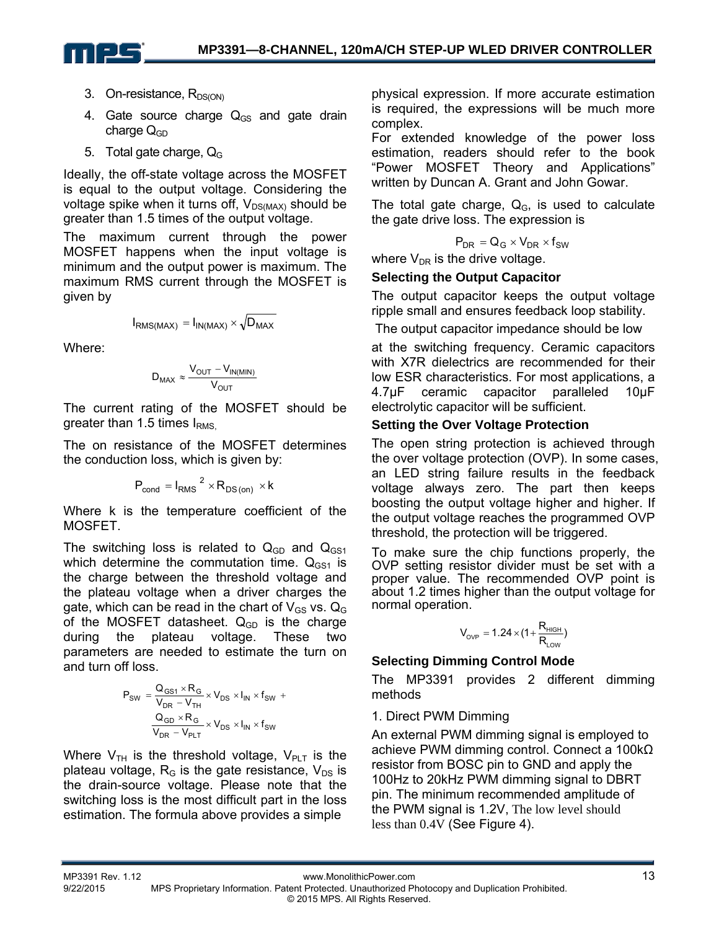

- 3. On-resistance,  $R_{DS(ON)}$
- 4. Gate source charge  $Q_{GS}$  and gate drain charge  $Q_{GD}$
- 5. Total gate charge,  $Q_G$

Ideally, the off-state voltage across the MOSFET is equal to the output voltage. Considering the voltage spike when it turns off,  $V_{DS(MAX)}$  should be greater than 1.5 times of the output voltage.

The maximum current through the power MOSFET happens when the input voltage is minimum and the output power is maximum. The maximum RMS current through the MOSFET is given by

$$
I_{RMS(MAX)} = I_{IN(MAX)} \times \sqrt{D_{MAX}}
$$

Where:

$$
D_{MAX} \approx \frac{V_{OUT} - V_{IN(MIN)}}{V_{OUT}}
$$

The current rating of the MOSFET should be greater than 1.5 times  $I<sub>RMS</sub>$ 

The on resistance of the MOSFET determines the conduction loss, which is given by:

$$
P_{\text{cond}} = I_{\text{RMS}}^{2} \times R_{\text{DS (on)}} \times k
$$

Where k is the temperature coefficient of the MOSFET.

The switching loss is related to  $Q_{GD}$  and  $Q_{GS1}$ which determine the commutation time.  $Q_{GS1}$  is the charge between the threshold voltage and the plateau voltage when a driver charges the gate, which can be read in the chart of  $V_{GS}$  vs.  $Q_G$ of the MOSFET datasheet.  $Q_{GD}$  is the charge during the plateau voltage. These two parameters are needed to estimate the turn on and turn off loss.

$$
P_{SW} = \frac{Q_{GS1} \times R_G}{V_{DR} - V_{TH}} \times V_{DS} \times I_{IN} \times f_{SW} +
$$

$$
\frac{Q_{GD} \times R_G}{V_{DR} - V_{PLT}} \times V_{DS} \times I_{IN} \times f_{SW}
$$

Where  $V_{TH}$  is the threshold voltage,  $V_{PLT}$  is the plateau voltage,  $R<sub>G</sub>$  is the gate resistance,  $V<sub>DS</sub>$  is the drain-source voltage. Please note that the switching loss is the most difficult part in the loss estimation. The formula above provides a simple

physical expression. If more accurate estimation is required, the expressions will be much more complex.

For extended knowledge of the power loss estimation, readers should refer to the book "Power MOSFET Theory and Applications" written by Duncan A. Grant and John Gowar.

The total gate charge,  $Q<sub>G</sub>$ , is used to calculate the gate drive loss. The expression is

$$
P_{DR} = Q_G \times V_{DR} \times f_{SW}
$$

where  $V_{DR}$  is the drive voltage.

#### **Selecting the Output Capacitor**

The output capacitor keeps the output voltage ripple small and ensures feedback loop stability.

The output capacitor impedance should be low

at the switching frequency. Ceramic capacitors with X7R dielectrics are recommended for their low ESR characteristics. For most applications, a 4.7μF ceramic capacitor paralleled 10μF electrolytic capacitor will be sufficient.

#### **Setting the Over Voltage Protection**

The open string protection is achieved through the over voltage protection (OVP). In some cases, an LED string failure results in the feedback voltage always zero. The part then keeps boosting the output voltage higher and higher. If the output voltage reaches the programmed OVP threshold, the protection will be triggered.

To make sure the chip functions properly, the OVP setting resistor divider must be set with a proper value. The recommended OVP point is about 1.2 times higher than the output voltage for normal operation.

$$
V_{_{OVP}}=1.24\times\big(1+\frac{R_{_{HIGH}}}{R_{_{LOW}}}\big)
$$

#### **Selecting Dimming Control Mode**

The MP3391 provides 2 different dimming methods

#### 1. Direct PWM Dimming

An external PWM dimming signal is employed to achieve PWM dimming control. Connect a 100kΩ resistor from BOSC pin to GND and apply the 100Hz to 20kHz PWM dimming signal to DBRT pin. The minimum recommended amplitude of the PWM signal is 1.2V, The low level should less than 0.4V (See Figure 4).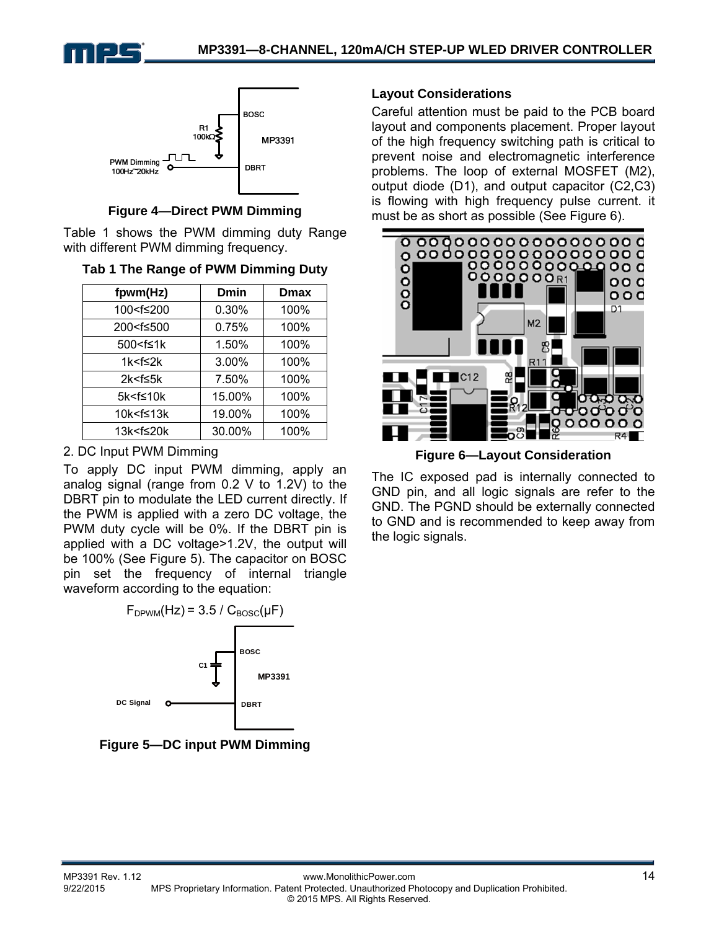



**Figure 4—Direct PWM Dimming** 

Table 1 shows the PWM dimming duty Range with different PWM dimming frequency.

|  | Tab 1 The Range of PWM Dimming Duty |  |  |  |
|--|-------------------------------------|--|--|--|
|--|-------------------------------------|--|--|--|

| fpwm(Hz)                                                | Dmin   | <b>Dmax</b> |
|---------------------------------------------------------|--------|-------------|
| 100 <f≤200< td=""><td>0.30%</td><td>100%</td></f≤200<>  | 0.30%  | 100%        |
| 200 <f≤500< td=""><td>0.75%</td><td>100%</td></f≤500<>  | 0.75%  | 100%        |
| 500 <f≤1k< td=""><td>1.50%</td><td>100%</td></f≤1k<>    | 1.50%  | 100%        |
| 1k <f≤2k< td=""><td>3.00%</td><td>100%</td></f≤2k<>     | 3.00%  | 100%        |
| $2k < f \leq 5k$                                        | 7.50%  | 100%        |
| 5k <f≤10k< td=""><td>15.00%</td><td>100%</td></f≤10k<>  | 15.00% | 100%        |
| 10k <f≤13k< td=""><td>19.00%</td><td>100%</td></f≤13k<> | 19.00% | 100%        |
| 13k <f≤20k< td=""><td>30.00%</td><td>100%</td></f≤20k<> | 30.00% | 100%        |

#### 2. DC Input PWM Dimming

To apply DC input PWM dimming, apply an analog signal (range from 0.2 V to 1.2V) to the DBRT pin to modulate the LED current directly. If the PWM is applied with a zero DC voltage, the PWM duty cycle will be 0%. If the DBRT pin is applied with a DC voltage>1.2V, the output will be 100% (See Figure 5). The capacitor on BOSC pin set the frequency of internal triangle waveform according to the equation:



**Figure 5—DC input PWM Dimming** 

#### **Layout Considerations**

Careful attention must be paid to the PCB board layout and components placement. Proper layout of the high frequency switching path is critical to prevent noise and electromagnetic interference problems. The loop of external MOSFET (M2), output diode (D1), and output capacitor (C2,C3) is flowing with high frequency pulse current. it must be as short as possible (See Figure 6).



**Figure 6—Layout Consideration**

The IC exposed pad is internally connected to GND pin, and all logic signals are refer to the GND. The PGND should be externally connected to GND and is recommended to keep away from the logic signals.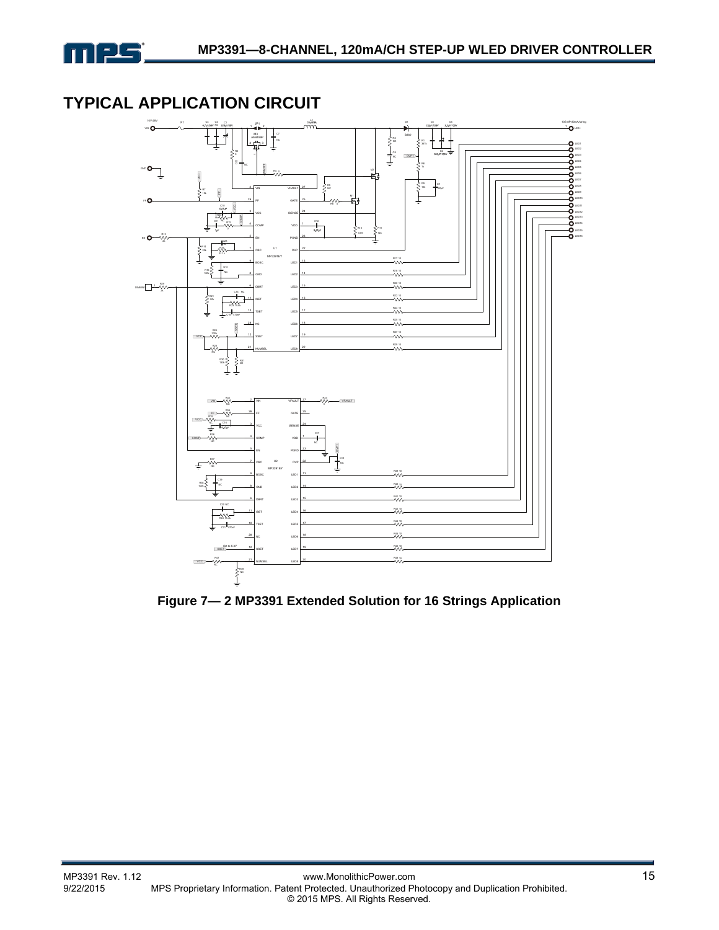

### **TYPICAL APPLICATION CIRCUIT**



**Figure 7— 2 MP3391 Extended Solution for 16 Strings Application**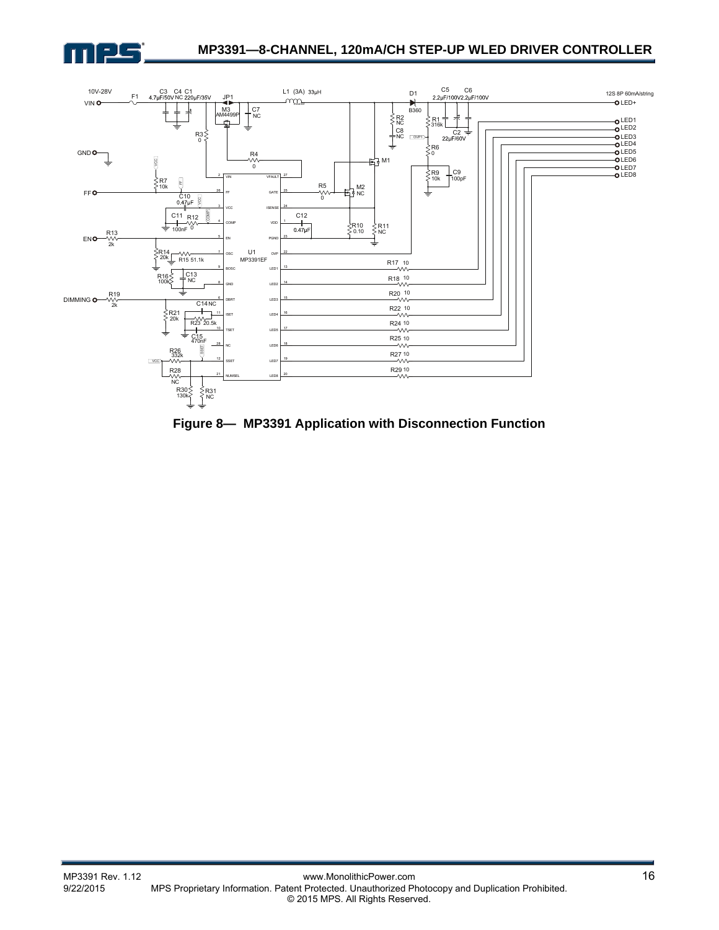



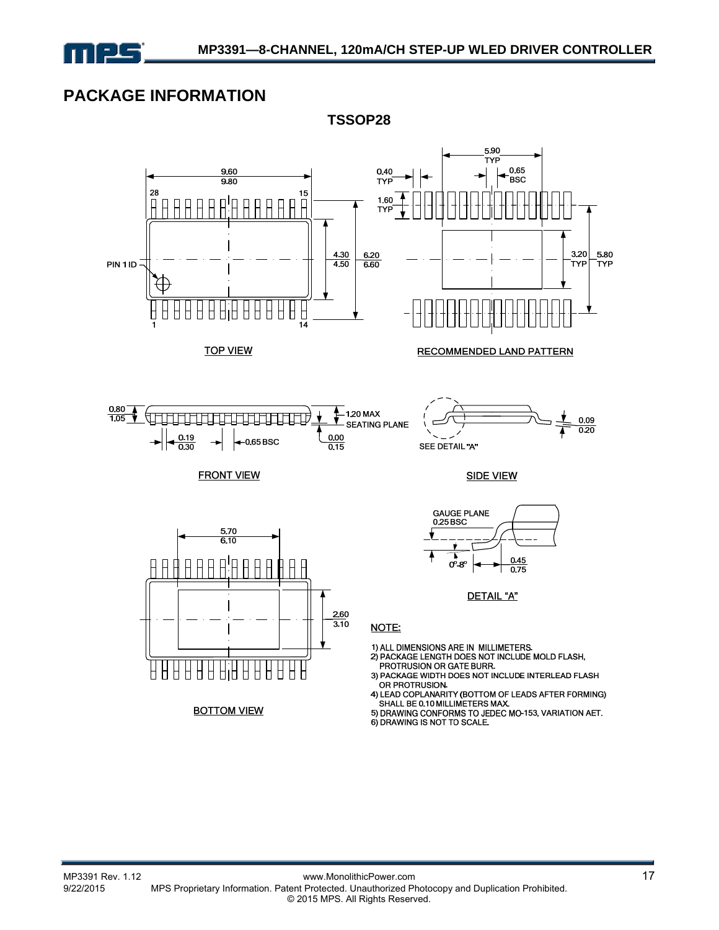

### **PACKAGE INFORMATION**



**TSSOP28**